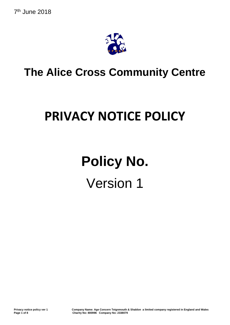

## **The Alice Cross Community Centre**

## **PRIVACY NOTICE POLICY**

# **Policy No.**  Version 1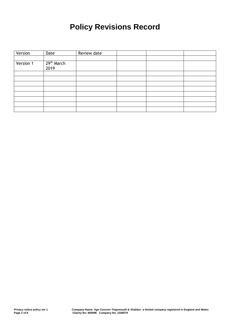### **Policy Revisions Record**

| Version   | Date                           | Review date |  |  |
|-----------|--------------------------------|-------------|--|--|
|           |                                |             |  |  |
| Version 1 | 29 <sup>th</sup> March<br>2019 |             |  |  |
|           |                                |             |  |  |
|           |                                |             |  |  |
|           |                                |             |  |  |
|           |                                |             |  |  |
|           |                                |             |  |  |
|           |                                |             |  |  |
|           |                                |             |  |  |
|           |                                |             |  |  |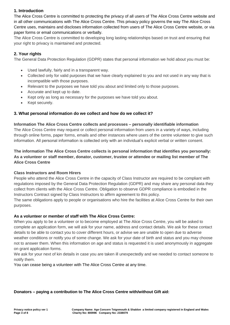#### **1. Introduction**

The Alice Cross Centre is committed to protecting the privacy of all users of The Alice Cross Centre website and in all other communications with The Alice Cross Centre. This privacy policy governs the way The Alice Cross Centre uses, maintains and discloses information collected from users of The Alice Cross Centre website, or via paper forms or email communications or verbally.

The Alice Cross Centre is committed to developing long lasting relationships based on trust and ensuring that your right to privacy is maintained and protected.

#### **2. Your rights**

The General Data Protection Regulation (GDPR) states that personal information we hold about you must be:

- Used lawfully, fairly and in a transparent way.
- Collected only for valid purposes that we have clearly explained to you and not used in any way that is incompatible with those purposes.
- Relevant to the purposes we have told you about and limited only to those purposes.
- Accurate and kept up to date.
- Kept only as long as necessary for the purposes we have told you about.
- Kept securely.

#### **3. What personal information do we collect and how do we collect it?**

#### **Information The Alice Cross Centre collects and processes – personally identifiable information**

The Alice Cross Centre may request or collect personal information from users in a variety of ways, including through online forms, paper forms, emails and other instances where users of the centre volunteer to give such information. All personal information is collected only with an individual's explicit verbal or written consent.

#### **The information The Alice Cross Centre collects is personal information that identifies you personally: As a volunteer or staff member, donator, customer, trustee or attendee or mailing list member of The Alice Cross Centre**

#### **Class Instructors and Room Hirers**

People who attend the Alice Cross Centre in the capacity of Class Instructor are required to be compliant with regulations imposed by the General Data Protection Regulation (GDPR) and may share any personal data they collect from clients with the Alice Cross Centre. Obligation to observe GDPR compliance is embodied in the Instructors Contract signed by Class Instructors to affirm agreement to this policy.

The same obligations apply to people or organisations who hire the facilities at Alice Cross Centre for their own purposes.

#### **As a volunteer or member of staff with The Alice Cross Centre:**

When you apply to be a volunteer or to become employed at The Alice Cross Centre, you will be asked to complete an application form, we will ask for your name, address and contact details. We ask for these contact details to be able to contact you to cover different hours, or advise we are unable to open due to adverse weather conditions or notify you of some change. We ask for your date of birth and status and you may choose not to answer them. When this information on age and status is requested it is used anonymously in aggregate on grant application forms.

We ask for your next of kin details in case you are taken ill unexpectedly and we needed to contact someone to notify them.

You can cease being a volunteer with The Alice Cross Centre at any time.

#### **Donators – paying a contribution to The Alice Cross Centre with/without Gift aid:**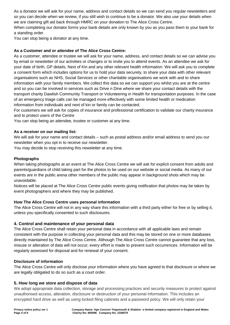As a donator we will ask for your name, address and contact details so we can send you regular newsletters and so you can decide when we review, if you still wish to continue to be a donator. We also use your details when we are claiming gift aid back through HMRC on your donation to The Alice Cross Centre.

When completing our donator forms your bank details are only known by you as you pass them to your bank for a standing order.

You can stop being a donator at any time.

#### **As a Customer and or attendee of The Alice Cross Centre:**

As a customer, attendee or trustee we will ask for your name, address, and contact details so we can advise you by email or newsletter of our activities or changes or to invite you to attend events. As an attendee we ask for your date of birth, GP details, Next of Kin and any other relevant health information. We will ask you to complete a consent form which includes options for us to hold your data securely, to share your data with other relevant organisations such as NHS, Social Services or other charitable organisations we work with and to share information with your family members. We collect this data so we can support you whilst you are at the centre and so you can be involved in services such as Drive n Dine where we share your contact details with the transport charity Dawlish Community Transport or Volunteering in Health for transportation purposes. In the case of an emergency triage calls can be managed more effectively with some limited health or medication information from individuals and next of kin or family can be contacted.

For customers we will ask for copies of insurance and professional certification to validate our charity insurance and to protect users of the Centre

You can stop being an attendee, trustee or customer at any time.

#### **As a receiver on our mailing list:**

We will ask for your name and contact details – such as postal address and/or email address to send you our newsletter when you opt in to receive our newsletter.

You may decide to stop receiving this newsletter at any time.

#### **Photographs**

When taking photographs at an event at The Alice Cross Centre we will ask for explicit consent from adults and parents/guardians of child taking part for the photos to be used on our website or social media. As many of our events are in the public arena other members of the public may appear in background shots which may be unavoidable.

Notices will be placed at The Alice Cross Centre public events giving notification that photos may be taken by event photographers and where they may be published.

#### **How The Alice Cross Centre uses personal information**

The Alice Cross Centre will not in any way share this information with a third party either for free or by selling it, unless you specifically consented to such disclosures.

#### **4. Control and maintenance of your personal data**

The Alice Cross Centre shall retain your personal data in accordance with all applicable laws and remain consistent with the purpose in collecting your personal data and this may be stored on one or more databases directly maintained by The Alice Cross Centre. Although The Alice Cross Centre cannot guarantee that any loss, misuse or alteration of data will not occur; every effort is made to prevent such occurrences. Information will be regularly assessed for disposal and for renewal of your consent.

#### **Disclosure of information**

The Alice Cross Centre will only disclose your information where you have agreed to that disclosure or where we are legally obligated to do so such as a court order.

#### **5. How long we store and dispose of data**

We adopt appropriate data collection, storage and processing practices and security measures to protect against unauthorised access, alteration, disclosure or destruction of your personal information. This includes an encrypted hard drive as well as using locked filing cabinets and a password policy. We will only retain your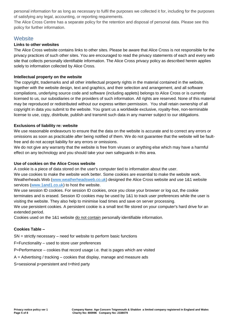personal information for as long as necessary to fulfil the purposes we collected it for, including for the purposes of satisfying any legal, accounting, or reporting requirements.

The Alice Cross Centre has a separate policy for the retention and disposal of personal data. Please see this policy for further information.

#### **Website**

#### **Links to other websites**

The Alice Cross website contains links to other sites. Please be aware that Alice Cross is not responsible for the privacy practices of such other sites. You are encouraged to read the privacy statements of each and every web site that collects personally identifiable information. The Alice Cross privacy policy as described herein applies solely to information collected by Alice Cross.

#### **Intellectual property on the website**

The copyright, trademarks and all other intellectual property rights in the material contained in the website, together with the website design, text and graphics, and their selection and arrangement, and all software compilations, underlying source code and software (including applets) belongs to Alice Cross or is currently licensed to us, our subsidiaries or the providers of such information. All rights are reserved. None of this material may be reproduced or redistributed without our express written permission. You shall retain ownership of all copyright in data you submit to the website. You grant us a worldwide exclusive, royalty-free, non-terminable license to use, copy, distribute, publish and transmit such data in any manner subject to our obligations.

#### **Exclusions of liability re: website**

We use reasonable endeavours to ensure that the data on the website is accurate and to correct any errors or omissions as soon as practicable after being notified of them. We do not guarantee that the website will be faultfree and do not accept liability for any errors or omissions.

We do not give any warranty that the website is free from viruses or anything else which may have a harmful effect on any technology and you should take your own safeguards in this area.

#### **Use of cookies on the Alice Cross website**

A cookie is a piece of data stored on the user's computer tied to information about the user. We use cookies to make the website work better. Some cookies are essential to make the website work. Weatherheads Web [\(www.weatherheadsweb.co.uk\)](http://www.weatherheadsweb.co.uk/) designed the Alice Cross website and use 1&1 website services [\(www.1and1.co.uk\)](http://www.1and1.co.uk/) to host the website.

We use session ID cookies. For session ID cookies, once you close your browser or log out, the cookie terminates and is erased. Session ID cookies may be used by 1&1 to track user preferences while the user is visiting the website. They also help to minimise load times and save on server processing.

We use persistent cookies. A persistent cookie is a small text file stored on your computer's hard drive for an extended period.

Cookies used on the 1&1 website do not contain personally identifiable information.

#### **Cookies Table –**

SN = strictly necessary – need for website to perform basic functions

F=Functionality – used to store user preferences

P=Performance – cookies that record usage i.e. that is pages which are visited

 $A =$  Advertising / tracking – cookies that display, manage and measure ads

S=sessional p=persistent and t=third party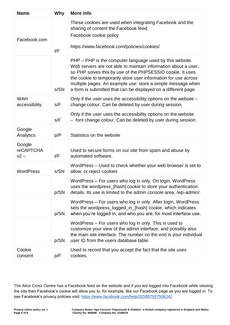| <b>Name</b>                          | Why  | More info                                                                                                                                                                                                                                                                                                                                                                                    |  |
|--------------------------------------|------|----------------------------------------------------------------------------------------------------------------------------------------------------------------------------------------------------------------------------------------------------------------------------------------------------------------------------------------------------------------------------------------------|--|
| Facebook.com                         | t/F  | These cookies are used when integrating Facebook and the<br>sharing of content the Facebook feed.<br>Facebook cookie policy<br>https://www.facebook.com/policies/cookies/                                                                                                                                                                                                                    |  |
|                                      | s/SN | PHP – PHP is the computer language used by this website.<br>Web servers are not able to maintain information about a user,<br>so PHP solves this by use of the PHPSESSID cookie. It uses<br>the cookie to temporarily store user information for use across<br>multiple pages. An example use: store a simple message when<br>a form is submitted that can be displayed on a different page. |  |
| <b>WAH</b><br>accessibility          | s/F  | Only if the user uses the accessibility options on the website -<br>change colour. Can be deleted by user during session.                                                                                                                                                                                                                                                                    |  |
|                                      | s/F  | Only if the user uses the accessibility options on the website<br>- font change colour. Can be deleted by user during session.                                                                                                                                                                                                                                                               |  |
| Google<br>Analytics                  | p/P  | Statistics on the website                                                                                                                                                                                                                                                                                                                                                                    |  |
| Google<br><b>reCAPTCHA</b><br>$v2 -$ | t/F  | Used to secure forms on our site from spam and abuse by<br>automated software.                                                                                                                                                                                                                                                                                                               |  |
| <b>WordPress</b>                     | s/SN | WordPress - Used to check whether your web browser is set to<br>allow, or reject cookies                                                                                                                                                                                                                                                                                                     |  |
|                                      | p/SN | WordPress - For users who log in only. On login, WordPress<br>uses the wordpress_[hash] cookie to store your authentication<br>details. Its use is limited to the admin console area, /wp-admin/.                                                                                                                                                                                            |  |
|                                      | p/SN | WordPress - For users who log in only. After login, WordPress<br>sets the wordpress_logged_in_[hash] cookie, which indicates<br>when you're logged in, and who you are, for most interface use.                                                                                                                                                                                              |  |
|                                      | p/SN | WordPress – For users who log in only. This is used to<br>customize your view of the admin interface, and possibly also<br>the main site interface. The number on the end is your individual<br>user ID from the users database table.                                                                                                                                                       |  |
| Cookie<br>consent                    | p/F  | Used to record that you accept the fact that the site uses<br>cookies.                                                                                                                                                                                                                                                                                                                       |  |

The Alice Cross Centre has a Facebook feed on the website and if you are logged into Facebook while viewing the site then Facebook's cookie will allow you to, for example, like our Facebook page as you are logged in. To see Facebook's privacy policies visit:<https://www.facebook.com/help/325807937506242>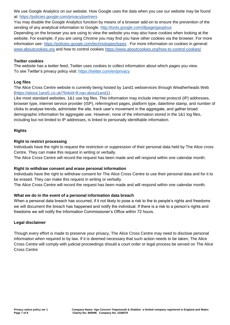We use Google Analytics on our website. How Google uses the data when you use our website may be found at:<https://policies.google.com/privacy/partners>

You may disable the Google Analytics function by means of a browser add-on to ensure the prevention of the sending of any analytical information to Google.<http://tools.google.com/dlpage/gaoptout>

Depending on the browser you are using to view the website you may also have cookies when looking at the website. For example, if you are using Chrome you may find you have other cookies via the browser. For more information see:<https://policies.google.com/technologies/types> . For more information on cookies in general: [www.aboutcookies.org](http://www.aboutcookies.org/) and how to control cookies <https://www.aboutcookies.org/how-to-control-cookies/>

#### **[Twitter cookies](https://www.kingsfund.org.uk/privacy-notice-cookies?utm_source=The%20King%27s%20Fund%20newsletters%20%28main%20account%29&utm_medium=email&utm_campaign=10354771_MKEVT_J1133_Leadership%20summit%202019_earlybird_080319&utm_content=privacynotice&dm_i=21A8,65XSJ,UNUCOR,O94OP,1)**

The website has a twitter feed, Twitter uses cookies to collect information about which pages you view. To see Twitter's privacy policy visit:<https://twitter.com/en/privacy>

#### **Log files**

The Alice Cross Centre website is currently being hosted by 1and1 webservices through Weatherheads Web [\(https://about.1and1.co.uk/?linkId=ft.nav.about1and1\)](https://about.1and1.co.uk/?linkId=ft.nav.about1and1) .

Like most standard websites, 1&1 use log files. This information may include internet protocol (IP) addresses, browser type, internet service provider (ISP), referring/exit pages, platform type, date/time stamp, and number of clicks to analyse trends, administer the site, track user's movement in the aggregate, and gather broad demographic information for aggregate use. However, none of the information stored in the 1&1 log files, including but not limited to IP addresses, is linked to personally identifiable information.

#### **Rights**

#### **Right to restrict processing**

Individuals have the right to request the restriction or suppression of their personal data held by The Alice cross Centre. They can make this request in writing or verbally.

The Alice Cross Centre will record the request has been made and will respond within one calendar month.

#### **Right to withdraw consent and erase personal information**

Individuals have the right to withdraw consent for The Alice Cross Centre to use their personal data and for it to be erased. They can make this request in writing or verbally.

The Alice Cross Centre will record the request has been made and will respond within one calendar month.

#### **What we do in the event of a personal information data breach**

When a personal data breach has occurred, if it not likely to pose a risk to the to people's rights and freedoms we will document the breach has happened and notify the individual. If there is a risk to a person's rights and freedoms we will notify the Information Commissioner's Office within 72 hours.

#### **Legal disclaimer**

Though every effort is made to preserve your privacy, The Alice Cross Centre may need to disclose personal information when required to by law. If it is deemed necessary that such action needs to be taken, The Alice Cross Centre will comply with judicial proceedings should a court order or legal process be served on The Alice Cross Centre